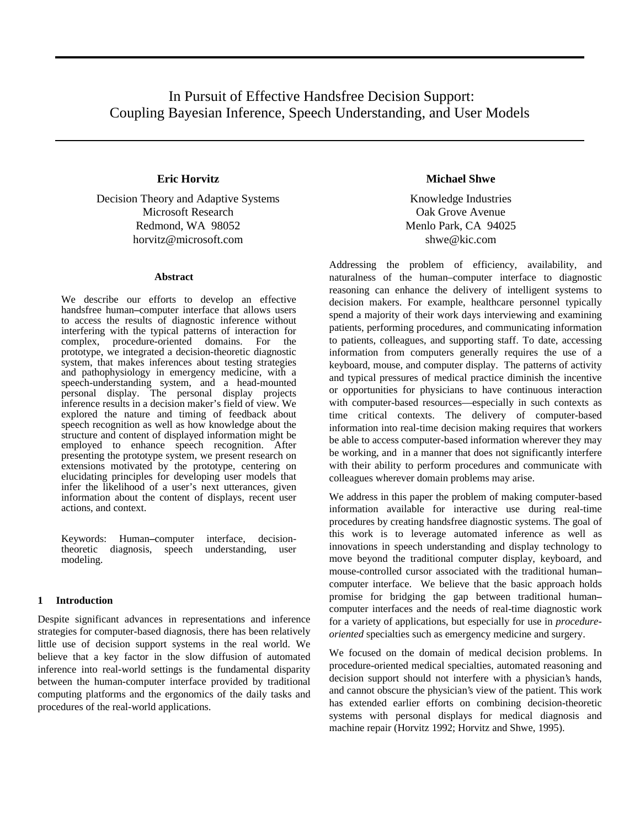# In Pursuit of Effective Handsfree Decision Support: Coupling Bayesian Inference, Speech Understanding, and User Models

Decision Theory and Adaptive Systems Knowledge Industries Microsoft Research **Oak Grove Avenue** Oak Grove Avenue Redmond, WA 98052 Menlo Park, CA 94025 horvitz@microsoft.com shwe@kic.com

#### **Abstract**

We describe our efforts to develop an effective handsfree human**–**computer interface that allows users to access the results of diagnostic inference without interfering with the typical patterns of interaction for complex, procedure-oriented domains. For the complex, procedure-oriented domains. prototype, we integrated a decision-theoretic diagnostic system, that makes inferences about testing strategies and pathophysiology in emergency medicine, with a speech-understanding system, and a head-mounted personal display. The personal display projects inference results in a decision maker's field of view. We explored the nature and timing of feedback about speech recognition as well as how knowledge about the structure and content of displayed information might be employed to enhance speech recognition. After presenting the prototype system, we present research on extensions motivated by the prototype, centering on elucidating principles for developing user models that infer the likelihood of a user's next utterances, given information about the content of displays, recent user actions, and context.

Keywords: Human–computer interface, decision-<br>theoretic diagnosis, speech understanding, user theoretic diagnosis, speech understanding, user modeling.

## **1 Introduction**

Despite significant advances in representations and inference strategies for computer-based diagnosis, there has been relatively little use of decision support systems in the real world. We believe that a key factor in the slow diffusion of automated inference into real-world settings is the fundamental disparity between the human-computer interface provided by traditional computing platforms and the ergonomics of the daily tasks and procedures of the real-world applications.

## **Eric Horvitz Michael Shwe**

Addressing the problem of efficiency, availability, and naturalness of the human–computer interface to diagnostic reasoning can enhance the delivery of intelligent systems to decision makers. For example, healthcare personnel typically spend a majority of their work days interviewing and examining patients, performing procedures, and communicating information to patients, colleagues, and supporting staff. To date, accessing information from computers generally requires the use of a keyboard, mouse, and computer display. The patterns of activity and typical pressures of medical practice diminish the incentive or opportunities for physicians to have continuous interaction with computer-based resources—especially in such contexts as time critical contexts. The delivery of computer-based information into real-time decision making requires that workers be able to access computer-based information wherever they may be working, and in a manner that does not significantly interfere with their ability to perform procedures and communicate with colleagues wherever domain problems may arise.

We address in this paper the problem of making computer-based information available for interactive use during real-time procedures by creating handsfree diagnostic systems. The goal of this work is to leverage automated inference as well as innovations in speech understanding and display technology to move beyond the traditional computer display, keyboard, and mouse-controlled cursor associated with the traditional human**–** computer interface. We believe that the basic approach holds promise for bridging the gap between traditional human**–** computer interfaces and the needs of real-time diagnostic work for a variety of applications, but especially for use in *procedureoriented* specialties such as emergency medicine and surgery.

We focused on the domain of medical decision problems. In procedure-oriented medical specialties, automated reasoning and decision support should not interfere with a physician's hands, and cannot obscure the physician's view of the patient. This work has extended earlier efforts on combining decision-theoretic systems with personal displays for medical diagnosis and machine repair (Horvitz 1992; Horvitz and Shwe, 1995).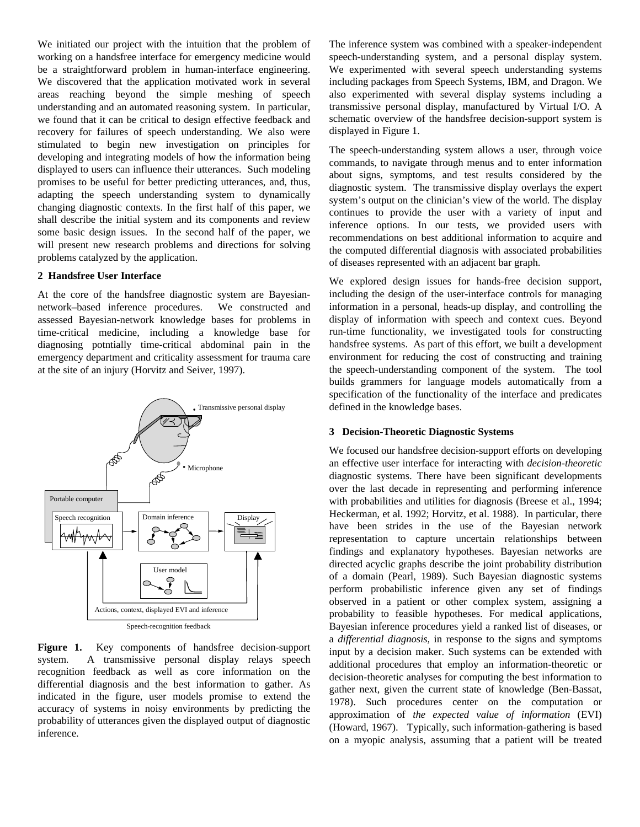We initiated our project with the intuition that the problem of working on a handsfree interface for emergency medicine would be a straightforward problem in human-interface engineering. We discovered that the application motivated work in several areas reaching beyond the simple meshing of speech understanding and an automated reasoning system. In particular, we found that it can be critical to design effective feedback and recovery for failures of speech understanding. We also were stimulated to begin new investigation on principles for developing and integrating models of how the information being displayed to users can influence their utterances. Such modeling promises to be useful for better predicting utterances, and, thus, adapting the speech understanding system to dynamically changing diagnostic contexts. In the first half of this paper, we shall describe the initial system and its components and review some basic design issues. In the second half of the paper, we will present new research problems and directions for solving problems catalyzed by the application.

## **2 Handsfree User Interface**

At the core of the handsfree diagnostic system are Bayesiannetwork**–**based inference procedures. We constructed and assessed Bayesian-network knowledge bases for problems in time-critical medicine, including a knowledge base for diagnosing potntially time-critical abdominal pain in the emergency department and criticality assessment for trauma care at the site of an injury (Horvitz and Seiver, 1997).



Figure 1. Key components of handsfree decision-support system. A transmissive personal display relays speech recognition feedback as well as core information on the differential diagnosis and the best information to gather. As indicated in the figure, user models promise to extend the accuracy of systems in noisy environments by predicting the probability of utterances given the displayed output of diagnostic inference.

The inference system was combined with a speaker-independent speech-understanding system, and a personal display system. We experimented with several speech understanding systems including packages from Speech Systems, IBM, and Dragon. We also experimented with several display systems including a transmissive personal display, manufactured by Virtual I/O. A schematic overview of the handsfree decision-support system is displayed in Figure 1.

The speech-understanding system allows a user, through voice commands, to navigate through menus and to enter information about signs, symptoms, and test results considered by the diagnostic system. The transmissive display overlays the expert system's output on the clinician's view of the world. The display continues to provide the user with a variety of input and inference options. In our tests, we provided users with recommendations on best additional information to acquire and the computed differential diagnosis with associated probabilities of diseases represented with an adjacent bar graph.

We explored design issues for hands-free decision support, including the design of the user-interface controls for managing information in a personal, heads-up display, and controlling the display of information with speech and context cues. Beyond run-time functionality, we investigated tools for constructing handsfree systems. As part of this effort, we built a development environment for reducing the cost of constructing and training the speech-understanding component of the system. The tool builds grammers for language models automatically from a specification of the functionality of the interface and predicates defined in the knowledge bases.

## **3 Decision-Theoretic Diagnostic Systems**

We focused our handsfree decision-support efforts on developing an effective user interface for interacting with *decision-theoretic* diagnostic systems. There have been significant developments over the last decade in representing and performing inference with probabilities and utilities for diagnosis (Breese et al., 1994; Heckerman, et al. 1992; Horvitz, et al. 1988). In particular, there have been strides in the use of the Bayesian network representation to capture uncertain relationships between findings and explanatory hypotheses. Bayesian networks are directed acyclic graphs describe the joint probability distribution of a domain (Pearl, 1989). Such Bayesian diagnostic systems perform probabilistic inference given any set of findings observed in a patient or other complex system, assigning a probability to feasible hypotheses. For medical applications, Bayesian inference procedures yield a ranked list of diseases, or a *differential diagnosis,* in response to the signs and symptoms input by a decision maker. Such systems can be extended with additional procedures that employ an information-theoretic or decision-theoretic analyses for computing the best information to gather next, given the current state of knowledge (Ben-Bassat, 1978). Such procedures center on the computation or approximation of *the expected value of information* (EVI) (Howard, 1967). Typically, such information-gathering is based on a myopic analysis, assuming that a patient will be treated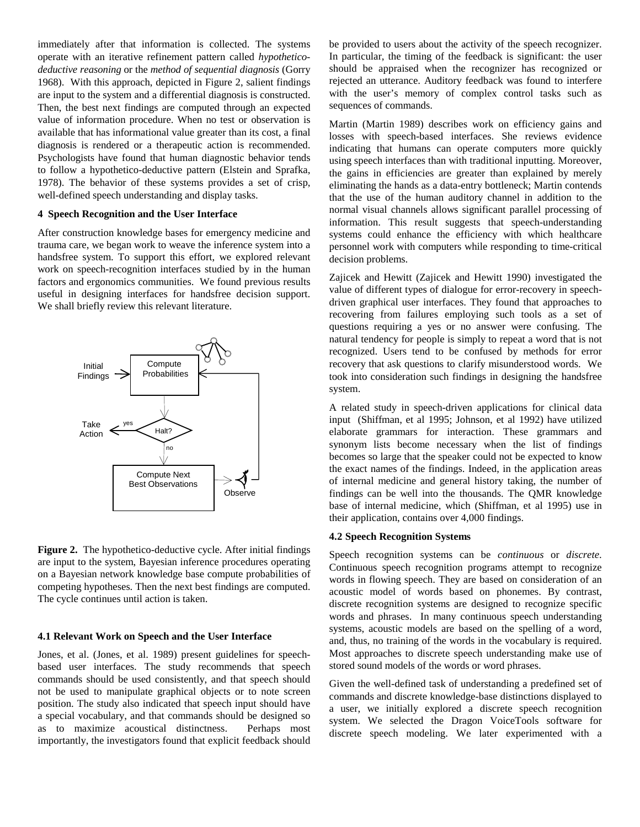immediately after that information is collected. The systems operate with an iterative refinement pattern called *hypotheticodeductive reasoning* or the *method of sequential diagnosis* (Gorry 1968). With this approach, depicted in Figure 2, salient findings are input to the system and a differential diagnosis is constructed. Then, the best next findings are computed through an expected value of information procedure. When no test or observation is available that has informational value greater than its cost, a final diagnosis is rendered or a therapeutic action is recommended. Psychologists have found that human diagnostic behavior tends to follow a hypothetico-deductive pattern (Elstein and Sprafka, 1978). The behavior of these systems provides a set of crisp, well-defined speech understanding and display tasks.

### **4 Speech Recognition and the User Interface**

After construction knowledge bases for emergency medicine and trauma care, we began work to weave the inference system into a handsfree system. To support this effort, we explored relevant work on speech-recognition interfaces studied by in the human factors and ergonomics communities. We found previous results useful in designing interfaces for handsfree decision support. We shall briefly review this relevant literature.



**Figure 2.** The hypothetico-deductive cycle. After initial findings are input to the system, Bayesian inference procedures operating on a Bayesian network knowledge base compute probabilities of competing hypotheses. Then the next best findings are computed. The cycle continues until action is taken.

#### **4.1 Relevant Work on Speech and the User Interface**

Jones, et al. (Jones, et al. 1989) present guidelines for speechbased user interfaces. The study recommends that speech commands should be used consistently, and that speech should not be used to manipulate graphical objects or to note screen position. The study also indicated that speech input should have a special vocabulary, and that commands should be designed so as to maximize acoustical distinctness. Perhaps most importantly, the investigators found that explicit feedback should

be provided to users about the activity of the speech recognizer. In particular, the timing of the feedback is significant: the user should be appraised when the recognizer has recognized or rejected an utterance. Auditory feedback was found to interfere with the user's memory of complex control tasks such as sequences of commands.

Martin (Martin 1989) describes work on efficiency gains and losses with speech-based interfaces. She reviews evidence indicating that humans can operate computers more quickly using speech interfaces than with traditional inputting. Moreover, the gains in efficiencies are greater than explained by merely eliminating the hands as a data-entry bottleneck; Martin contends that the use of the human auditory channel in addition to the normal visual channels allows significant parallel processing of information. This result suggests that speech-understanding systems could enhance the efficiency with which healthcare personnel work with computers while responding to time-critical decision problems.

Zajicek and Hewitt (Zajicek and Hewitt 1990) investigated the value of different types of dialogue for error-recovery in speechdriven graphical user interfaces. They found that approaches to recovering from failures employing such tools as a set of questions requiring a yes or no answer were confusing. The natural tendency for people is simply to repeat a word that is not recognized. Users tend to be confused by methods for error recovery that ask questions to clarify misunderstood words. We took into consideration such findings in designing the handsfree system.

A related study in speech-driven applications for clinical data input (Shiffman, et al 1995; Johnson, et al 1992) have utilized elaborate grammars for interaction. These grammars and synonym lists become necessary when the list of findings becomes so large that the speaker could not be expected to know the exact names of the findings. Indeed, in the application areas of internal medicine and general history taking, the number of findings can be well into the thousands. The QMR knowledge base of internal medicine, which (Shiffman, et al 1995) use in their application, contains over 4,000 findings.

#### **4.2 Speech Recognition Systems**

Speech recognition systems can be *continuous* or *discrete*. Continuous speech recognition programs attempt to recognize words in flowing speech. They are based on consideration of an acoustic model of words based on phonemes. By contrast, discrete recognition systems are designed to recognize specific words and phrases. In many continuous speech understanding systems, acoustic models are based on the spelling of a word, and, thus, no training of the words in the vocabulary is required. Most approaches to discrete speech understanding make use of stored sound models of the words or word phrases.

Given the well-defined task of understanding a predefined set of commands and discrete knowledge-base distinctions displayed to a user, we initially explored a discrete speech recognition system. We selected the Dragon VoiceTools software for discrete speech modeling. We later experimented with a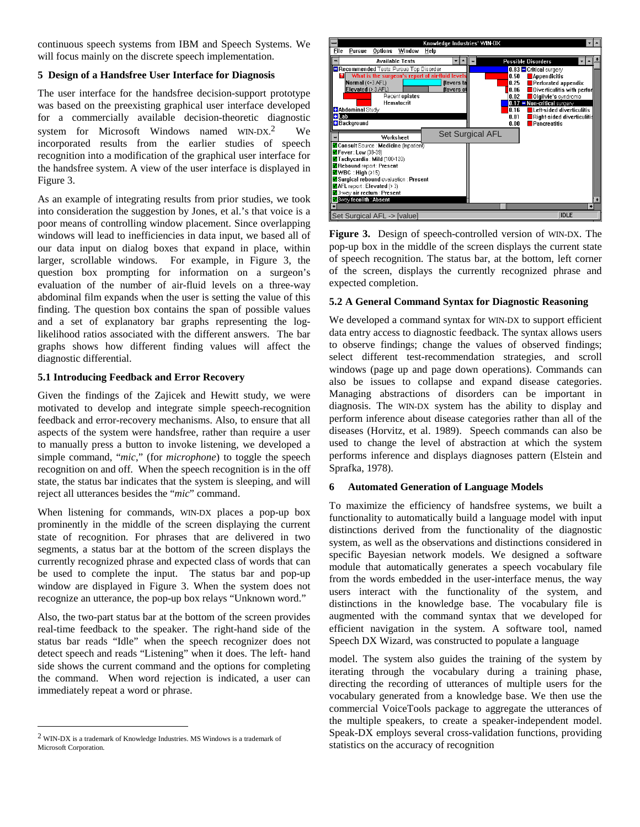continuous speech systems from IBM and Speech Systems. We will focus mainly on the discrete speech implementation.

## **5 Design of a Handsfree User Interface for Diagnosis**

The user interface for the handsfree decision-support prototype was based on the preexisting graphical user interface developed for a commercially available decision-theoretic diagnostic system for Microsoft Windows named WIN-DX. We incorporated results from the earlier studies of speech recognition into a modification of the graphical user interface for the handsfree system. A view of the user interface is displayed in Figure 3.

As an example of integrating results from prior studies, we took into consideration the suggestion by Jones, et al.'s that voice is a poor means of controlling window placement. Since overlapping windows will lead to inefficiencies in data input, we based all of our data input on dialog boxes that expand in place, within larger, scrollable windows. For example, in Figure 3, the question box prompting for information on a surgeon's evaluation of the number of air-fluid levels on a three-way abdominal film expands when the user is setting the value of this finding. The question box contains the span of possible values and a set of explanatory bar graphs representing the loglikelihood ratios associated with the different answers. The bar graphs shows how different finding values will affect the diagnostic differential.

## **5.1 Introducing Feedback and Error Recovery**

Given the findings of the Zajicek and Hewitt study, we were motivated to develop and integrate simple speech-recognition feedback and error-recovery mechanisms. Also, to ensure that all aspects of the system were handsfree, rather than require a user to manually press a button to invoke listening, we developed a simple command, "*mic*," (for *microphone*) to toggle the speech recognition on and off. When the speech recognition is in the off state, the status bar indicates that the system is sleeping, and will reject all utterances besides the "*mic*" command.

When listening for commands, WIN-DX places a pop-up box prominently in the middle of the screen displaying the current state of recognition. For phrases that are delivered in two segments, a status bar at the bottom of the screen displays the currently recognized phrase and expected class of words that can be used to complete the input. The status bar and pop-up window are displayed in Figure 3. When the system does not recognize an utterance, the pop-up box relays "Unknown word."

Also, the two-part status bar at the bottom of the screen provides real-time feedback to the speaker. The right-hand side of the status bar reads "Idle" when the speech recognizer does not detect speech and reads "Listening" when it does. The left- hand side shows the current command and the options for completing the command. When word rejection is indicated, a user can immediately repeat a word or phrase.

 $\overline{a}$ 



**Figure 3.** Design of speech-controlled version of WIN-DX. The pop-up box in the middle of the screen displays the current state of speech recognition. The status bar, at the bottom, left corner of the screen, displays the currently recognized phrase and expected completion.

## **5.2 A General Command Syntax for Diagnostic Reasoning**

We developed a command syntax for WIN-DX to support efficient data entry access to diagnostic feedback. The syntax allows users to observe findings; change the values of observed findings; select different test-recommendation strategies, and scroll windows (page up and page down operations). Commands can also be issues to collapse and expand disease categories. Managing abstractions of disorders can be important in diagnosis. The WIN-DX system has the ability to display and perform inference about disease categories rather than all of the diseases (Horvitz, et al. 1989). Speech commands can also be used to change the level of abstraction at which the system performs inference and displays diagnoses pattern (Elstein and Sprafka, 1978).

## **6 Automated Generation of Language Models**

To maximize the efficiency of handsfree systems, we built a functionality to automatically build a language model with input distinctions derived from the functionality of the diagnostic system, as well as the observations and distinctions considered in specific Bayesian network models. We designed a software module that automatically generates a speech vocabulary file from the words embedded in the user-interface menus, the way users interact with the functionality of the system, and distinctions in the knowledge base. The vocabulary file is augmented with the command syntax that we developed for efficient navigation in the system. A software tool, named Speech DX Wizard, was constructed to populate a language

model. The system also guides the training of the system by iterating through the vocabulary during a training phase, directing the recording of utterances of multiple users for the vocabulary generated from a knowledge base. We then use the commercial VoiceTools package to aggregate the utterances of the multiple speakers, to create a speaker-independent model. Speak-DX employs several cross-validation functions, providing statistics on the accuracy of recognition

<sup>2</sup> WIN-DX is a trademark of Knowledge Industries. MS Windows is a trademark of Microsoft Corporation.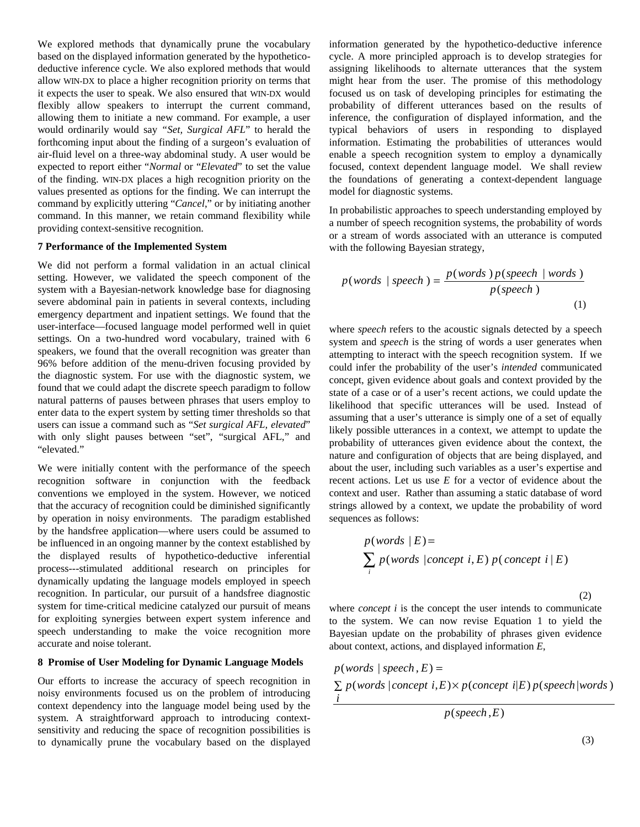We explored methods that dynamically prune the vocabulary based on the displayed information generated by the hypotheticodeductive inference cycle. We also explored methods that would allow WIN-DX to place a higher recognition priority on terms that it expects the user to speak. We also ensured that WIN-DX would flexibly allow speakers to interrupt the current command, allowing them to initiate a new command. For example, a user would ordinarily would say *"Set, Surgical AFL*" to herald the forthcoming input about the finding of a surgeon's evaluation of air-fluid level on a three-way abdominal study. A user would be expected to report either "*Normal* or "*Elevated*" to set the value of the finding. WIN-DX places a high recognition priority on the values presented as options for the finding. We can interrupt the command by explicitly uttering "*Cancel*," or by initiating another command. In this manner, we retain command flexibility while providing context-sensitive recognition.

#### **7 Performance of the Implemented System**

We did not perform a formal validation in an actual clinical setting. However, we validated the speech component of the system with a Bayesian-network knowledge base for diagnosing severe abdominal pain in patients in several contexts, including emergency department and inpatient settings. We found that the user-interface—focused language model performed well in quiet settings. On a two-hundred word vocabulary, trained with 6 speakers, we found that the overall recognition was greater than 96% before addition of the menu-driven focusing provided by the diagnostic system. For use with the diagnostic system, we found that we could adapt the discrete speech paradigm to follow natural patterns of pauses between phrases that users employ to enter data to the expert system by setting timer thresholds so that users can issue a command such as "*Set surgical AFL, elevated*" with only slight pauses between "set", "surgical AFL," and "elevated."

We were initially content with the performance of the speech recognition software in conjunction with the feedback conventions we employed in the system. However, we noticed that the accuracy of recognition could be diminished significantly by operation in noisy environments. The paradigm established by the handsfree application—where users could be assumed to be influenced in an ongoing manner by the context established by the displayed results of hypothetico-deductive inferential process---stimulated additional research on principles for dynamically updating the language models employed in speech recognition. In particular, our pursuit of a handsfree diagnostic system for time-critical medicine catalyzed our pursuit of means for exploiting synergies between expert system inference and speech understanding to make the voice recognition more accurate and noise tolerant.

## **8 Promise of User Modeling for Dynamic Language Models**

Our efforts to increase the accuracy of speech recognition in noisy environments focused us on the problem of introducing context dependency into the language model being used by the system. A straightforward approach to introducing contextsensitivity and reducing the space of recognition possibilities is to dynamically prune the vocabulary based on the displayed information generated by the hypothetico-deductive inference cycle. A more principled approach is to develop strategies for assigning likelihoods to alternate utterances that the system might hear from the user. The promise of this methodology focused us on task of developing principles for estimating the probability of different utterances based on the results of inference, the configuration of displayed information, and the typical behaviors of users in responding to displayed information. Estimating the probabilities of utterances would enable a speech recognition system to employ a dynamically focused, context dependent language model. We shall review the foundations of generating a context-dependent language model for diagnostic systems.

In probabilistic approaches to speech understanding employed by a number of speech recognition systems, the probability of words or a stream of words associated with an utterance is computed with the following Bayesian strategy,

$$
p(words \mid speech) = \frac{p(words) p(speech \mid words)}{p(speech)}
$$
\n(1)

where *speech* refers to the acoustic signals detected by a speech system and *speech* is the string of words a user generates when attempting to interact with the speech recognition system. If we could infer the probability of the user's *intended* communicated concept, given evidence about goals and context provided by the state of a case or of a user's recent actions, we could update the likelihood that specific utterances will be used. Instead of assuming that a user's utterance is simply one of a set of equally likely possible utterances in a context, we attempt to update the probability of utterances given evidence about the context, the nature and configuration of objects that are being displayed, and about the user, including such variables as a user's expertise and recent actions. Let us use *E* for a vector of evidence about the context and user. Rather than assuming a static database of word strings allowed by a context, we update the probability of word sequences as follows:

$$
p(words | E) =
$$
  
 
$$
\sum_{i} p(words | concept i, E) p(concept i | E)
$$

(2)

where *concept i* is the concept the user intends to communicate to the system. We can now revise Equation 1 to yield the Bayesian update on the probability of phrases given evidence about context, actions, and displayed information *E*,

 $\sum p(\text{words} | \text{concept } i, E) \times p(\text{concept } i | E) p(\text{speed} | \text{words})$  $p(words | speech, E) =$ *i*

 $p$ (speech,E)

(3)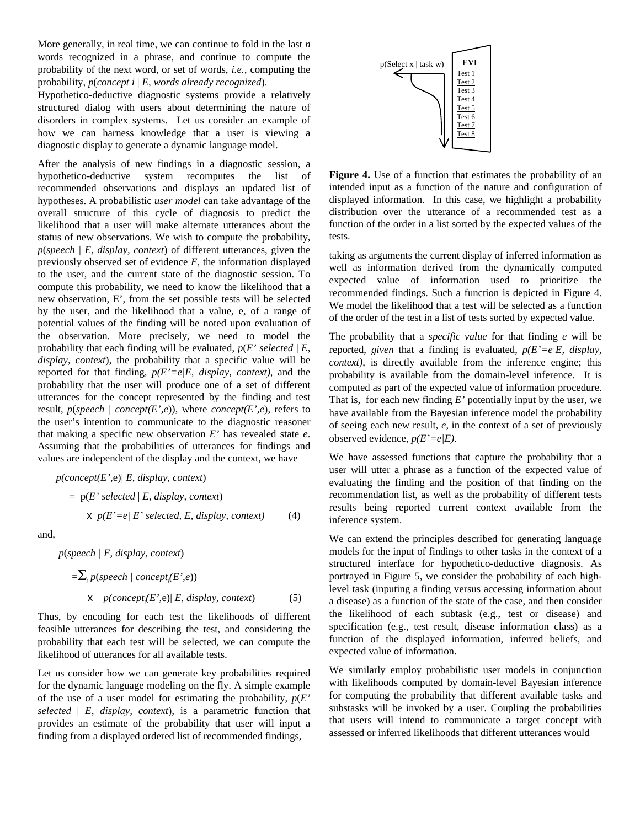More generally, in real time, we can continue to fold in the last *n* words recognized in a phrase, and continue to compute the probability of the next word, or set of words, *i.e.,* computing the probability, *p*(*concept i* | *E*, *words already recognized*).

Hypothetico-deductive diagnostic systems provide a relatively structured dialog with users about determining the nature of disorders in complex systems. Let us consider an example of how we can harness knowledge that a user is viewing a diagnostic display to generate a dynamic language model.

After the analysis of new findings in a diagnostic session, a hypothetico-deductive system recomputes the list of recommended observations and displays an updated list of hypotheses. A probabilistic *user model* can take advantage of the overall structure of this cycle of diagnosis to predict the likelihood that a user will make alternate utterances about the status of new observations. We wish to compute the probability, *p*(*speech | E, display, context*) of different utterances, given the previously observed set of evidence *E,* the information displayed to the user, and the current state of the diagnostic session. To compute this probability, we need to know the likelihood that a new observation, E', from the set possible tests will be selected by the user, and the likelihood that a value, e, of a range of potential values of the finding will be noted upon evaluation of the observation. More precisely, we need to model the probability that each finding will be evaluated,  $p(E)$  selected  $|E|$ , *display, context*), the probability that a specific value will be reported for that finding,  $p(E'=e/E, \text{ display}, \text{or} \text{.} \text{or} \text{.} \text{or} \text{.} \text{or} \text{.} \text{or} \text{.} \text{or} \text{.} \text{or} \text{.} \text{or} \text{.} \text{or} \text{.} \text{or} \text{.} \text{or} \text{.} \text{or} \text{.} \text{or} \text{.} \text{or} \text{.} \text{or} \text{.} \text{or} \text{.} \text{or} \text{.} \text{or} \text{.} \text$ probability that the user will produce one of a set of different utterances for the concept represented by the finding and test result,  $p$ (*speech* / *concept*(*E',e*)), where *concept*(*E',e*), refers to the user's intention to communicate to the diagnostic reasoner that making a specific new observation *E'* has revealed state *e*. Assuming that the probabilities of utterances for findings and values are independent of the display and the context, we have

$$
p(\text{concept}(E', e) | E, \text{ display}, \text{context})
$$
\n
$$
= p(E' \text{ selected} | E, \text{display}, \text{context})
$$
\n
$$
x p(E' = e | E' \text{ selected}, E, \text{display}, \text{context})
$$
\n(4)

and,

 *p*(*speech | E, display, context*)

$$
=\sum_{i} p(speech / concept_{i}(E', e))
$$
  
 
$$
\times p(concept_{i}(E', e) | E, display, control)
$$
 (5)

Thus, by encoding for each test the likelihoods of different feasible utterances for describing the test, and considering the probability that each test will be selected, we can compute the likelihood of utterances for all available tests.

Let us consider how we can generate key probabilities required for the dynamic language modeling on the fly. A simple example of the use of a user model for estimating the probability,  $p(E)$ *selected* | *E*, *display, context*), is a parametric function that provides an estimate of the probability that user will input a finding from a displayed ordered list of recommended findings,



**Figure 4.** Use of a function that estimates the probability of an intended input as a function of the nature and configuration of displayed information. In this case, we highlight a probability distribution over the utterance of a recommended test as a function of the order in a list sorted by the expected values of the tests.

taking as arguments the current display of inferred information as well as information derived from the dynamically computed expected value of information used to prioritize the recommended findings. Such a function is depicted in Figure 4. We model the likelihood that a test will be selected as a function of the order of the test in a list of tests sorted by expected value.

The probability that a *specific value* for that finding *e* will be reported, *given* that a finding is evaluated, *p(E'=e|E, display, context)*, is directly available from the inference engine; this probability is available from the domain-level inference. It is computed as part of the expected value of information procedure. That is, for each new finding *E'* potentially input by the user, we have available from the Bayesian inference model the probability of seeing each new result, *e*, in the context of a set of previously observed evidence, *p(E'=e|E)*.

We have assessed functions that capture the probability that a user will utter a phrase as a function of the expected value of evaluating the finding and the position of that finding on the recommendation list, as well as the probability of different tests results being reported current context available from the inference system.

We can extend the principles described for generating language models for the input of findings to other tasks in the context of a structured interface for hypothetico-deductive diagnosis. As portrayed in Figure 5, we consider the probability of each highlevel task (inputing a finding versus accessing information about a disease) as a function of the state of the case, and then consider the likelihood of each subtask (e.g., test or disease) and specification (e.g., test result, disease information class) as a function of the displayed information, inferred beliefs, and expected value of information.

We similarly employ probabilistic user models in conjunction with likelihoods computed by domain-level Bayesian inference for computing the probability that different available tasks and substasks will be invoked by a user. Coupling the probabilities that users will intend to communicate a target concept with assessed or inferred likelihoods that different utterances would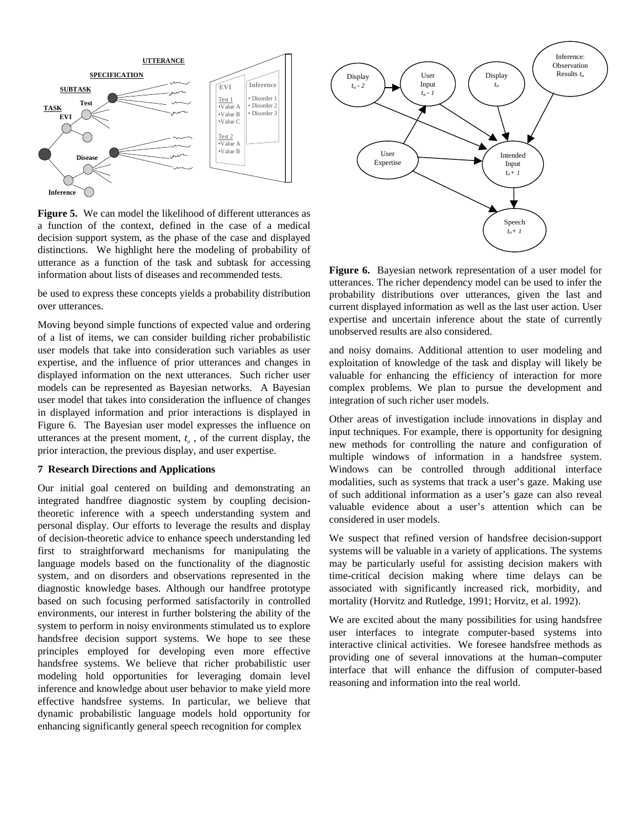

**Figure 5.** We can model the likelihood of different utterances as a function of the context, defined in the case of a medical decision support system, as the phase of the case and displayed distinctions. We highlight here the modeling of probability of utterance as a function of the task and subtask for accessing information about lists of diseases and recommended tests.

be used to express these concepts yields a probability distribution over utterances.

Moving beyond simple functions of expected value and ordering of a list of items, we can consider building richer probabilistic user models that take into consideration such variables as user expertise, and the influence of prior utterances and changes in displayed information on the next utterances. Such richer user models can be represented as Bayesian networks. A Bayesian user model that takes into consideration the influence of changes in displayed information and prior interactions is displayed in Figure 6. The Bayesian user model expresses the influence on utterances at the present moment,  $t_a$ , of the current display, the prior interaction, the previous display, and user expertise.

## **7 Research Directions and Applications**

Our initial goal centered on building and demonstrating an integrated handfree diagnostic system by coupling decisiontheoretic inference with a speech understanding system and personal display. Our efforts to leverage the results and display of decision-theoretic advice to enhance speech understanding led first to straightforward mechanisms for manipulating the language models based on the functionality of the diagnostic system, and on disorders and observations represented in the diagnostic knowledge bases. Although our handfree prototype based on such focusing performed satisfactorily in controlled environments, our interest in further bolstering the ability of the system to perform in noisy environments stimulated us to explore handsfree decision support systems. We hope to see these principles employed for developing even more effective handsfree systems. We believe that richer probabilistic user modeling hold opportunities for leveraging domain level inference and knowledge about user behavior to make yield more effective handsfree systems. In particular, we believe that dynamic probabilistic language models hold opportunity for enhancing significantly general speech recognition for complex



**Figure 6.** Bayesian network representation of a user model for utterances. The richer dependency model can be used to infer the probability distributions over utterances, given the last and current displayed information as well as the last user action. User expertise and uncertain inference about the state of currently unobserved results are also considered.

and noisy domains. Additional attention to user modeling and exploitation of knowledge of the task and display will likely be valuable for enhancing the efficiency of interaction for more complex problems. We plan to pursue the development and integration of such richer user models.

Other areas of investigation include innovations in display and input techniques. For example, there is opportunity for designing new methods for controlling the nature and configuration of multiple windows of information in a handsfree system. Windows can be controlled through additional interface modalities, such as systems that track a user's gaze. Making use of such additional information as a user's gaze can also reveal valuable evidence about a user's attention which can be considered in user models.

We suspect that refined version of handsfree decision-support systems will be valuable in a variety of applications. The systems may be particularly useful for assisting decision makers with time-critical decision making where time delays can be associated with significantly increased rick, morbidity, and mortality (Horvitz and Rutledge, 1991; Horvitz, et al. 1992).

We are excited about the many possibilities for using handsfree user interfaces to integrate computer-based systems into interactive clinical activities. We foresee handsfree methods as providing one of several innovations at the human**–**computer interface that will enhance the diffusion of computer-based reasoning and information into the real world.